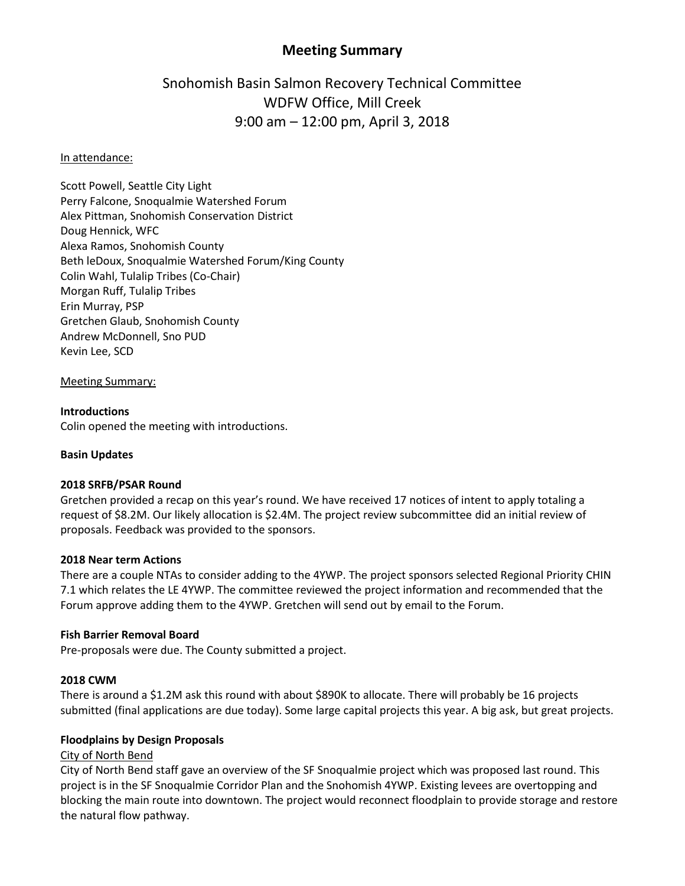## **Meeting Summary**

# Snohomish Basin Salmon Recovery Technical Committee WDFW Office, Mill Creek 9:00 am – 12:00 pm, April 3, 2018

#### In attendance:

Scott Powell, Seattle City Light Perry Falcone, Snoqualmie Watershed Forum Alex Pittman, Snohomish Conservation District Doug Hennick, WFC Alexa Ramos, Snohomish County Beth leDoux, Snoqualmie Watershed Forum/King County Colin Wahl, Tulalip Tribes (Co-Chair) Morgan Ruff, Tulalip Tribes Erin Murray, PSP Gretchen Glaub, Snohomish County Andrew McDonnell, Sno PUD Kevin Lee, SCD

Meeting Summary:

## **Introductions**

Colin opened the meeting with introductions.

## **Basin Updates**

### **2018 SRFB/PSAR Round**

Gretchen provided a recap on this year's round. We have received 17 notices of intent to apply totaling a request of \$8.2M. Our likely allocation is \$2.4M. The project review subcommittee did an initial review of proposals. Feedback was provided to the sponsors.

#### **2018 Near term Actions**

There are a couple NTAs to consider adding to the 4YWP. The project sponsors selected Regional Priority CHIN 7.1 which relates the LE 4YWP. The committee reviewed the project information and recommended that the Forum approve adding them to the 4YWP. Gretchen will send out by email to the Forum.

#### **Fish Barrier Removal Board**

Pre-proposals were due. The County submitted a project.

#### **2018 CWM**

There is around a \$1.2M ask this round with about \$890K to allocate. There will probably be 16 projects submitted (final applications are due today). Some large capital projects this year. A big ask, but great projects.

#### **Floodplains by Design Proposals**

#### City of North Bend

City of North Bend staff gave an overview of the SF Snoqualmie project which was proposed last round. This project is in the SF Snoqualmie Corridor Plan and the Snohomish 4YWP. Existing levees are overtopping and blocking the main route into downtown. The project would reconnect floodplain to provide storage and restore the natural flow pathway.